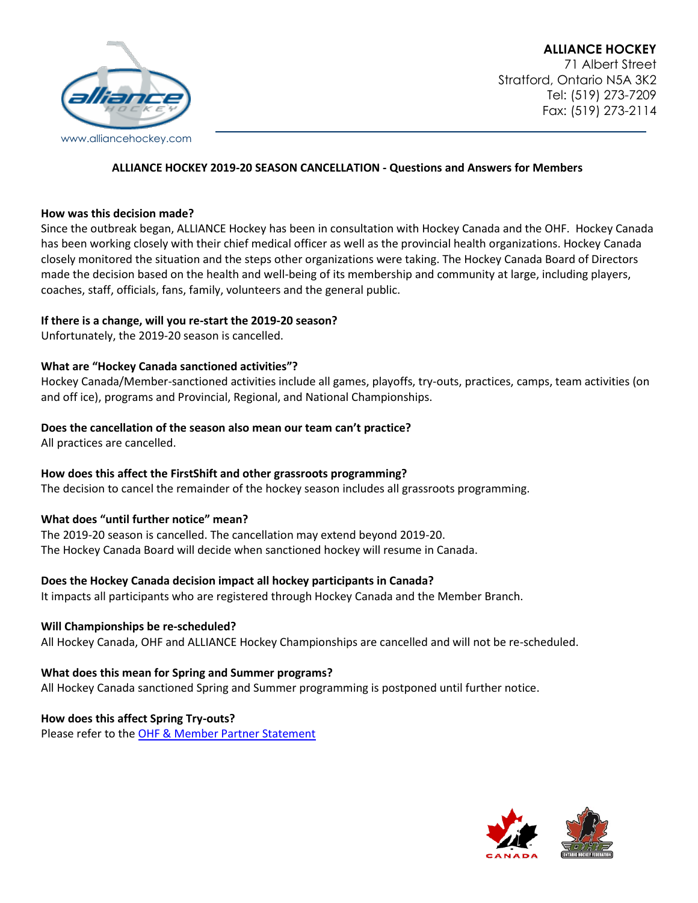

#### **ALLIANCE HOCKEY 2019-20 SEASON CANCELLATION - Questions and Answers for Members**

#### **How was this decision made?**

Since the outbreak began, ALLIANCE Hockey has been in consultation with Hockey Canada and the OHF. Hockey Canada has been working closely with their chief medical officer as well as the provincial health organizations. Hockey Canada closely monitored the situation and the steps other organizations were taking. The Hockey Canada Board of Directors made the decision based on the health and well-being of its membership and community at large, including players, coaches, staff, officials, fans, family, volunteers and the general public.

#### **If there is a change, will you re-start the 2019-20 season?**

Unfortunately, the 2019-20 season is cancelled.

# **What are "Hockey Canada sanctioned activities"?**

Hockey Canada/Member-sanctioned activities include all games, playoffs, try-outs, practices, camps, team activities (on and off ice), programs and Provincial, Regional, and National Championships.

# **Does the cancellation of the season also mean our team can't practice?**

All practices are cancelled.

# **How does this affect the FirstShift and other grassroots programming?**

The decision to cancel the remainder of the hockey season includes all grassroots programming.

# **What does "until further notice" mean?**

The 2019-20 season is cancelled. The cancellation may extend beyond 2019-20. The Hockey Canada Board will decide when sanctioned hockey will resume in Canada.

# **Does the Hockey Canada decision impact all hockey participants in Canada?**

It impacts all participants who are registered through Hockey Canada and the Member Branch.

# **Will Championships be re-scheduled?**

All Hockey Canada, OHF and ALLIANCE Hockey Championships are cancelled and will not be re-scheduled.

#### **What does this mean for Spring and Summer programs?**

All Hockey Canada sanctioned Spring and Summer programming is postponed until further notice.

# **How does this affect Spring Try-outs?**

Please refer to the [OHF & Member Partner Statement](https://alliancehockey.com/Articles/5317/OHF_AND_MEMBER_PARTNER_STATEMENT_ON_SPRING_TRYOUTS_IN_RESPONSE_TO_CORONAVIRUS_(COVID-19)/)